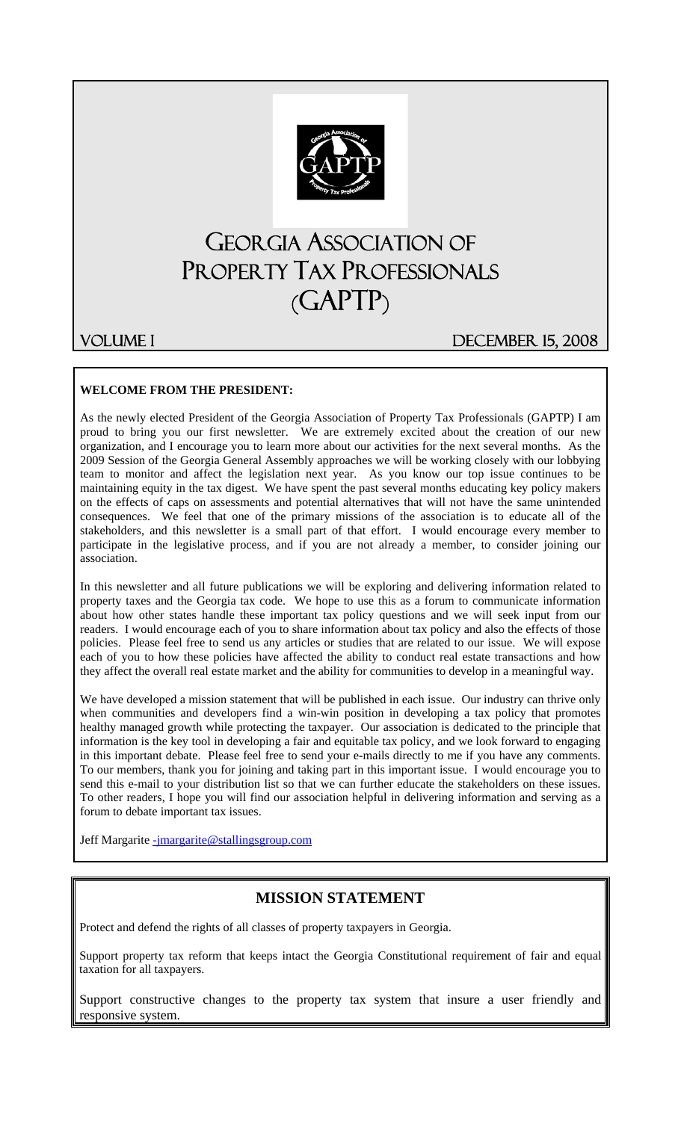

# GEORGIA ASSOCIATION OF PROPERTY TAX PROFESSIONALS (GAPTP)

VolUME I DECEmber 15, 2008

#### **WELCOME FROM THE PRESIDENT:**

As the newly elected President of the Georgia Association of Property Tax Professionals (GAPTP) I am proud to bring you our first newsletter. We are extremely excited about the creation of our new organization, and I encourage you to learn more about our activities for the next several months. As the 2009 Session of the Georgia General Assembly approaches we will be working closely with our lobbying team to monitor and affect the legislation next year. As you know our top issue continues to be maintaining equity in the tax digest. We have spent the past several months educating key policy makers on the effects of caps on assessments and potential alternatives that will not have the same unintended consequences. We feel that one of the primary missions of the association is to educate all of the stakeholders, and this newsletter is a small part of that effort. I would encourage every member to participate in the legislative process, and if you are not already a member, to consider joining our association.

In this newsletter and all future publications we will be exploring and delivering information related to property taxes and the Georgia tax code. We hope to use this as a forum to communicate information about how other states handle these important tax policy questions and we will seek input from our readers. I would encourage each of you to share information about tax policy and also the effects of those policies. Please feel free to send us any articles or studies that are related to our issue. We will expose each of you to how these policies have affected the ability to conduct real estate transactions and how they affect the overall real estate market and the ability for communities to develop in a meaningful way.

We have developed a mission statement that will be published in each issue. Our industry can thrive only when communities and developers find a win-win position in developing a tax policy that promotes healthy managed growth while protecting the taxpayer. Our association is dedicated to the principle that information is the key tool in developing a fair and equitable tax policy, and we look forward to engaging in this important debate. Please feel free to send your e-mails directly to me if you have any comments. To our members, thank you for joining and taking part in this important issue. I would encourage you to send this e-mail to your distribution list so that we can further educate the stakeholders on these issues. To other readers, I hope you will find our association helpful in delivering information and serving as a forum to debate important tax issues.

Jeff Margarite -jmargarite@stallingsgroup.com

### **MISSION STATEMENT**

Protect and defend the rights of all classes of property taxpayers in Georgia.

Support property tax reform that keeps intact the Georgia Constitutional requirement of fair and equal taxation for all taxpayers.

Support constructive changes to the property tax system that insure a user friendly and responsive system.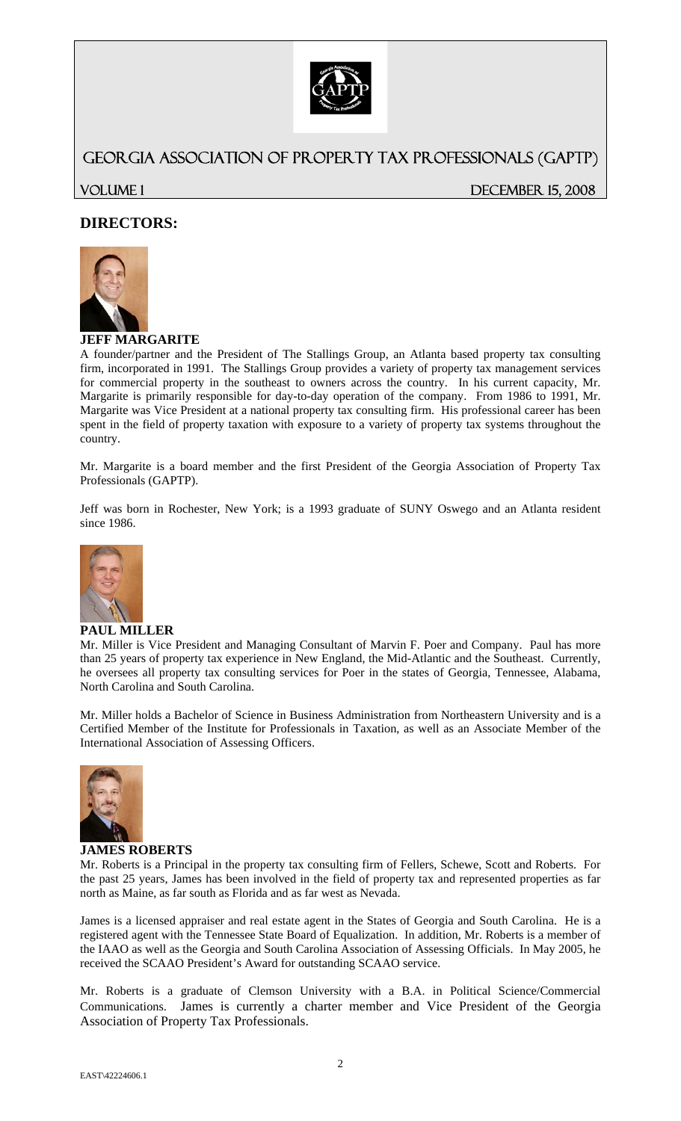

### GEORGIA ASSOCIATION OF PROPERTY TAX PROFESSIONALS (GAPTP)

VOLUME 1 DECEMBER 15, 2008

### **DIRECTORS:**



#### **JEFF MARGARITE**

A founder/partner and the President of The Stallings Group, an Atlanta based property tax consulting firm, incorporated in 1991. The Stallings Group provides a variety of property tax management services for commercial property in the southeast to owners across the country. In his current capacity, Mr. Margarite is primarily responsible for day-to-day operation of the company. From 1986 to 1991, Mr. Margarite was Vice President at a national property tax consulting firm. His professional career has been spent in the field of property taxation with exposure to a variety of property tax systems throughout the country.

Mr. Margarite is a board member and the first President of the Georgia Association of Property Tax Professionals (GAPTP).

Jeff was born in Rochester, New York; is a 1993 graduate of SUNY Oswego and an Atlanta resident since 1986.



#### **PAUL MILLER**

Mr. Miller is Vice President and Managing Consultant of Marvin F. Poer and Company. Paul has more than 25 years of property tax experience in New England, the Mid-Atlantic and the Southeast. Currently, he oversees all property tax consulting services for Poer in the states of Georgia, Tennessee, Alabama, North Carolina and South Carolina.

Mr. Miller holds a Bachelor of Science in Business Administration from Northeastern University and is a Certified Member of the Institute for Professionals in Taxation, as well as an Associate Member of the International Association of Assessing Officers.



#### **JAMES ROBERTS**

Mr. Roberts is a Principal in the property tax consulting firm of Fellers, Schewe, Scott and Roberts. For the past 25 years, James has been involved in the field of property tax and represented properties as far north as Maine, as far south as Florida and as far west as Nevada.

James is a licensed appraiser and real estate agent in the States of Georgia and South Carolina. He is a registered agent with the Tennessee State Board of Equalization. In addition, Mr. Roberts is a member of the IAAO as well as the Georgia and South Carolina Association of Assessing Officials. In May 2005, he received the SCAAO President's Award for outstanding SCAAO service.

Mr. Roberts is a graduate of Clemson University with a B.A. in Political Science/Commercial Communications. James is currently a charter member and Vice President of the Georgia Association of Property Tax Professionals.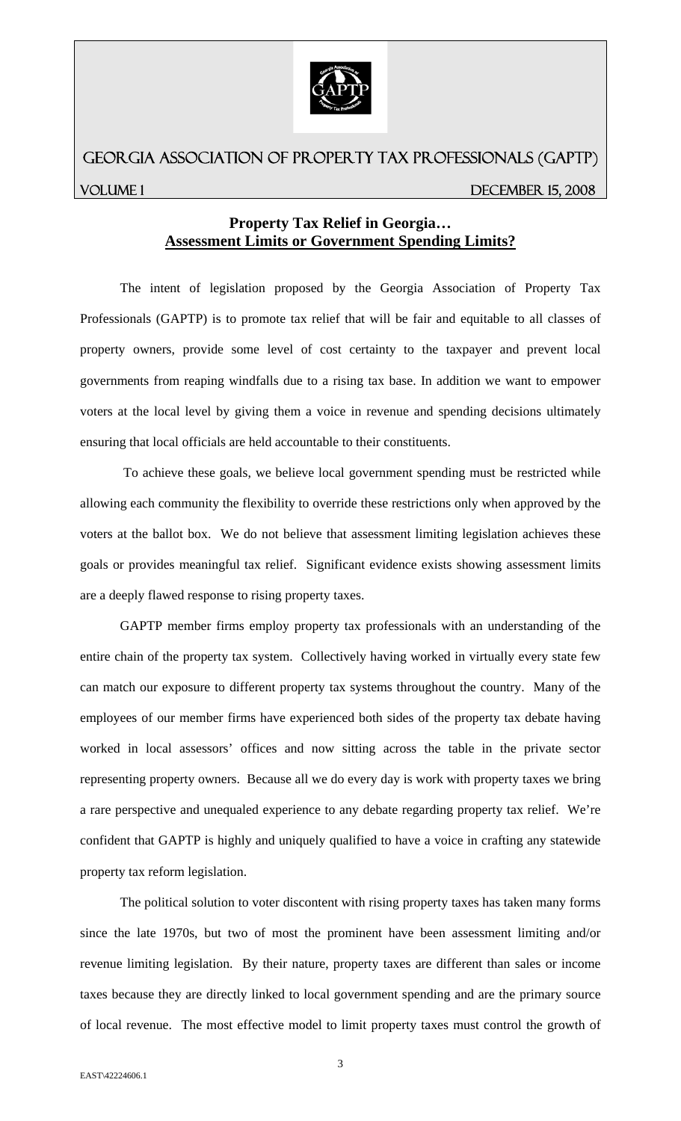

# GEORGIA ASSOCIATION OF PROPERTY TAX PROFESSIONALS (GAPTP) VOLUME 1 DECEMBER 15, 2008

### **Property Tax Relief in Georgia… Assessment Limits or Government Spending Limits?**

 The intent of legislation proposed by the Georgia Association of Property Tax Professionals (GAPTP) is to promote tax relief that will be fair and equitable to all classes of property owners, provide some level of cost certainty to the taxpayer and prevent local governments from reaping windfalls due to a rising tax base. In addition we want to empower voters at the local level by giving them a voice in revenue and spending decisions ultimately ensuring that local officials are held accountable to their constituents.

 To achieve these goals, we believe local government spending must be restricted while allowing each community the flexibility to override these restrictions only when approved by the voters at the ballot box. We do not believe that assessment limiting legislation achieves these goals or provides meaningful tax relief. Significant evidence exists showing assessment limits are a deeply flawed response to rising property taxes.

GAPTP member firms employ property tax professionals with an understanding of the entire chain of the property tax system. Collectively having worked in virtually every state few can match our exposure to different property tax systems throughout the country. Many of the employees of our member firms have experienced both sides of the property tax debate having worked in local assessors' offices and now sitting across the table in the private sector representing property owners. Because all we do every day is work with property taxes we bring a rare perspective and unequaled experience to any debate regarding property tax relief. We're confident that GAPTP is highly and uniquely qualified to have a voice in crafting any statewide property tax reform legislation.

The political solution to voter discontent with rising property taxes has taken many forms since the late 1970s, but two of most the prominent have been assessment limiting and/or revenue limiting legislation. By their nature, property taxes are different than sales or income taxes because they are directly linked to local government spending and are the primary source of local revenue. The most effective model to limit property taxes must control the growth of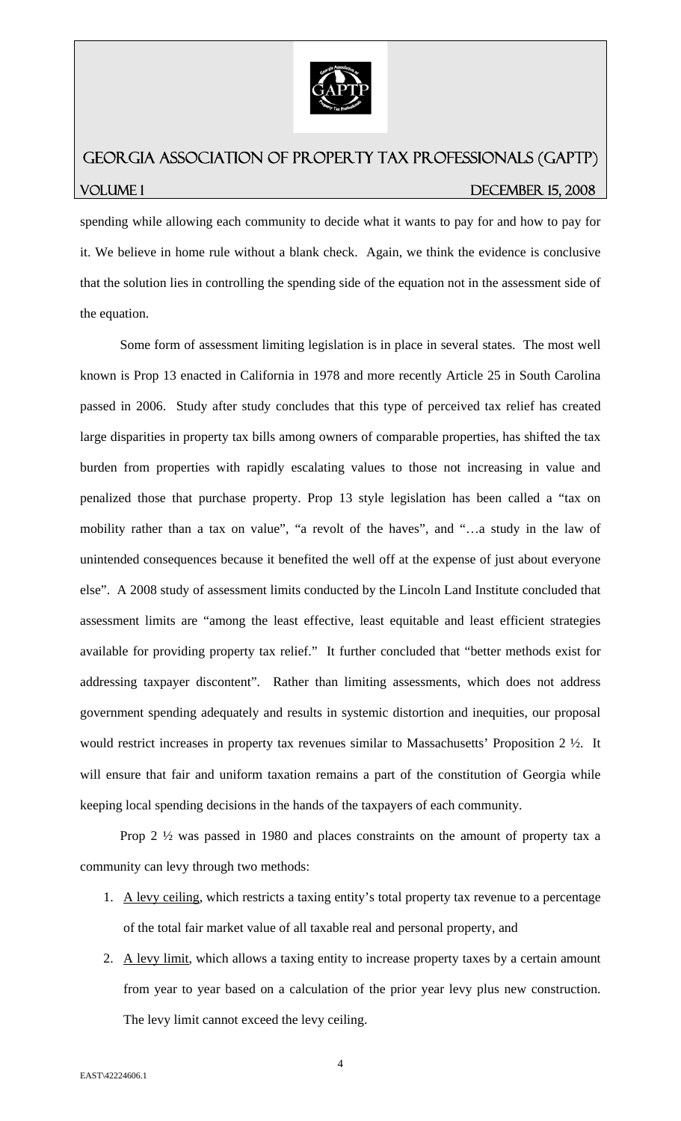

## GEORGIA ASSOCIATION OF PROPERTY TAX PROFESSIONALS (GAPTP) VOLUME 1 DECEMBER 15, 2008

spending while allowing each community to decide what it wants to pay for and how to pay for it. We believe in home rule without a blank check. Again, we think the evidence is conclusive that the solution lies in controlling the spending side of the equation not in the assessment side of the equation.

 Some form of assessment limiting legislation is in place in several states. The most well known is Prop 13 enacted in California in 1978 and more recently Article 25 in South Carolina passed in 2006. Study after study concludes that this type of perceived tax relief has created large disparities in property tax bills among owners of comparable properties, has shifted the tax burden from properties with rapidly escalating values to those not increasing in value and penalized those that purchase property. Prop 13 style legislation has been called a "tax on mobility rather than a tax on value", "a revolt of the haves", and "…a study in the law of unintended consequences because it benefited the well off at the expense of just about everyone else". A 2008 study of assessment limits conducted by the Lincoln Land Institute concluded that assessment limits are "among the least effective, least equitable and least efficient strategies available for providing property tax relief." It further concluded that "better methods exist for addressing taxpayer discontent". Rather than limiting assessments, which does not address government spending adequately and results in systemic distortion and inequities, our proposal would restrict increases in property tax revenues similar to Massachusetts' Proposition 2 ½. It will ensure that fair and uniform taxation remains a part of the constitution of Georgia while keeping local spending decisions in the hands of the taxpayers of each community.

 Prop 2 ½ was passed in 1980 and places constraints on the amount of property tax a community can levy through two methods:

- 1. A levy ceiling, which restricts a taxing entity's total property tax revenue to a percentage of the total fair market value of all taxable real and personal property, and
- 2. A levy limit, which allows a taxing entity to increase property taxes by a certain amount from year to year based on a calculation of the prior year levy plus new construction. The levy limit cannot exceed the levy ceiling.